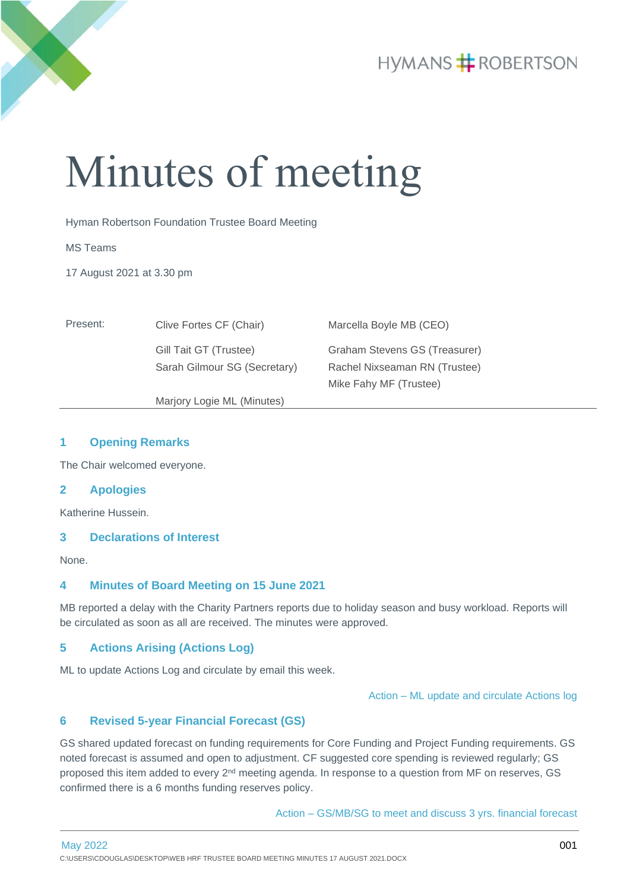

# **HYMANS # ROBERTSON**

# Minutes of meeting

Hyman Robertson Foundation Trustee Board Meeting

MS Teams

17 August 2021 at 3.30 pm

| Present: | Clive Fortes CF (Chair)      | Marcella Boyle MB (CEO)       |
|----------|------------------------------|-------------------------------|
|          | Gill Tait GT (Trustee)       | Graham Stevens GS (Treasurer) |
|          | Sarah Gilmour SG (Secretary) | Rachel Nixseaman RN (Trustee) |
|          |                              | Mike Fahy MF (Trustee)        |
|          | Marjory Logie ML (Minutes)   |                               |

### **1 Opening Remarks**

The Chair welcomed everyone.

#### **2 Apologies**

Katherine Hussein.

## **3 Declarations of Interest**

None.

# **4 Minutes of Board Meeting on 15 June 2021**

MB reported a delay with the Charity Partners reports due to holiday season and busy workload. Reports will be circulated as soon as all are received. The minutes were approved.

# **5 Actions Arising (Actions Log)**

ML to update Actions Log and circulate by email this week.

Action – ML update and circulate Actions log

#### **6 Revised 5-year Financial Forecast (GS)**

GS shared updated forecast on funding requirements for Core Funding and Project Funding requirements. GS noted forecast is assumed and open to adjustment. CF suggested core spending is reviewed regularly; GS proposed this item added to every 2<sup>nd</sup> meeting agenda. In response to a question from MF on reserves, GS confirmed there is a 6 months funding reserves policy.

Action – GS/MB/SG to meet and discuss 3 yrs. financial forecast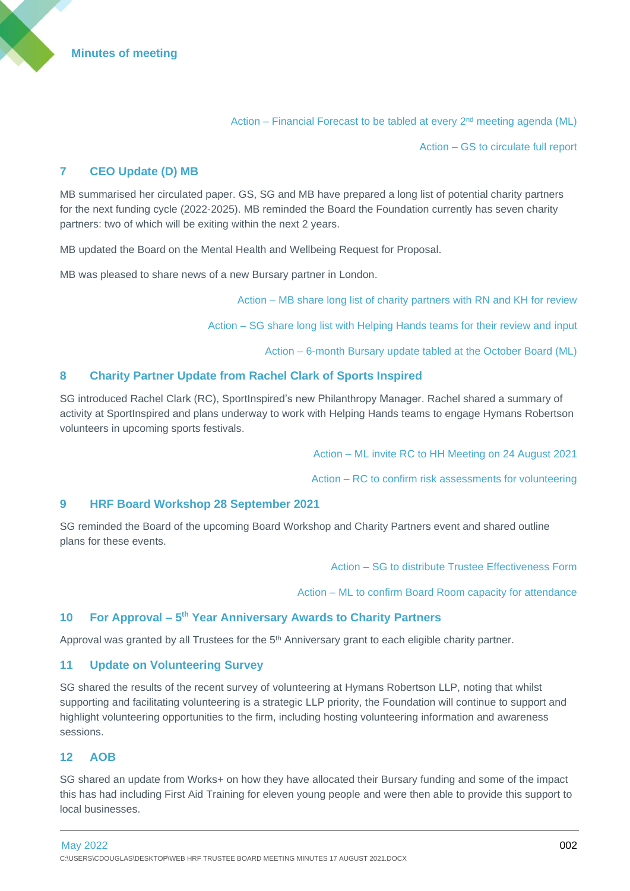Action – Financial Forecast to be tabled at every 2<sup>nd</sup> meeting agenda (ML)

Action – GS to circulate full report

# **7 CEO Update (D) MB**

MB summarised her circulated paper. GS, SG and MB have prepared a long list of potential charity partners for the next funding cycle (2022-2025). MB reminded the Board the Foundation currently has seven charity partners: two of which will be exiting within the next 2 years.

MB updated the Board on the Mental Health and Wellbeing Request for Proposal.

MB was pleased to share news of a new Bursary partner in London.

Action – MB share long list of charity partners with RN and KH for review

Action – SG share long list with Helping Hands teams for their review and input

Action – 6-month Bursary update tabled at the October Board (ML)

# **8 Charity Partner Update from Rachel Clark of Sports Inspired**

SG introduced Rachel Clark (RC), SportInspired's new Philanthropy Manager. Rachel shared a summary of activity at SportInspired and plans underway to work with Helping Hands teams to engage Hymans Robertson volunteers in upcoming sports festivals.

Action – ML invite RC to HH Meeting on 24 August 2021

Action – RC to confirm risk assessments for volunteering

#### **9 HRF Board Workshop 28 September 2021**

SG reminded the Board of the upcoming Board Workshop and Charity Partners event and shared outline plans for these events.

Action – SG to distribute Trustee Effectiveness Form

Action – ML to confirm Board Room capacity for attendance

#### **10 For Approval – 5 th Year Anniversary Awards to Charity Partners**

Approval was granted by all Trustees for the 5<sup>th</sup> Anniversary grant to each eligible charity partner.

#### **11 Update on Volunteering Survey**

SG shared the results of the recent survey of volunteering at Hymans Robertson LLP, noting that whilst supporting and facilitating volunteering is a strategic LLP priority, the Foundation will continue to support and highlight volunteering opportunities to the firm, including hosting volunteering information and awareness sessions.

#### **12 AOB**

SG shared an update from Works+ on how they have allocated their Bursary funding and some of the impact this has had including First Aid Training for eleven young people and were then able to provide this support to local businesses.